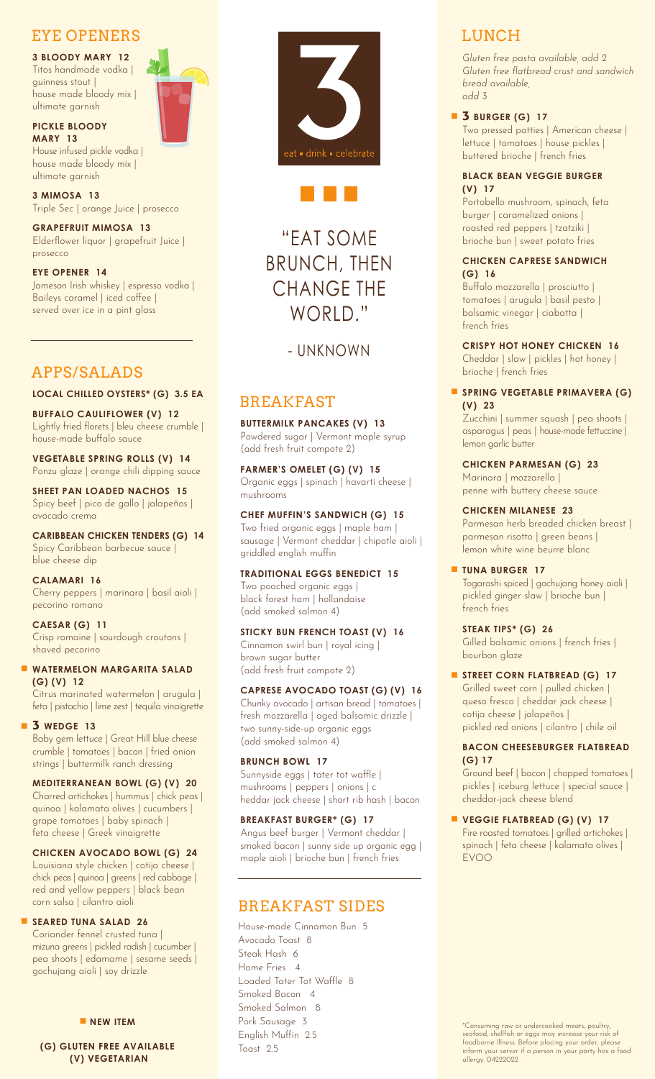## EYE OPENERS

**3 BLOODY MARY 12** Titos handmade vodka | guinness stout | house made bloody mix | ultimate garnish

**PICKLE BLOODY MARY 13**

House infused pickle vodka | house made bloody mix | ultimate garnish

**3 MIMOSA 13** Triple Sec | orange Juice | prosecco

**GRAPEFRUIT MIMOSA 13** Elderflower liquor | grapefruit Juice | prosecco

**EYE OPENER 14** Jameson Irish whiskey | espresso vodka | Baileys caramel | iced coffee | served over ice in a pint glass

## APPS/SALADS

**LOCAL CHILLED OYSTERS\* (G) 3.5 EA**

**BUFFALO CAULIFLOWER (V) 12** Lightly fried florets | bleu cheese crumble | house-made buffalo sauce

**VEGETABLE SPRING ROLLS (V) 14** Ponzu glaze | orange chili dipping sauce

**SHEET PAN LOADED NACHOS 15** Spicy beef | pico de gallo | jalapeños | avocado crema

**CARIBBEAN CHICKEN TENDERS (G) 14** Spicy Caribbean barbecue sauce | blue cheese dip

**CALAMARI 16** Cherry peppers | marinara | basil aioli | pecorino romano

**CAESAR (G) 11** Crisp romaine | sourdough croutons | shaved pecorino

#### **WATERMELON MARGARITA SALAD (G) (V) 12**

Citrus marinated watermelon | arugula | feta | pistachio | lime zest | tequila vinaigrette

#### **3 WEDGE 13**

Baby gem lettuce | Great Hill blue cheese crumble | tomatoes | bacon | fried onion strings | buttermilk ranch dressing

#### **MEDITERRANEAN BOWL (G) (V) 20**

Charred artichokes | hummus | chick peas | quinoa | kalamata olives | cucumbers | grape tomatoes | baby spinach | feta cheese | Greek vinaigrette

#### **CHICKEN AVOCADO BOWL (G) 24**

Louisiana style chicken | cotija cheese | chick peas | quinoa | greens | red cabbage | red and yellow peppers | black bean corn salsa | cilantro aioli

#### **SEARED TUNA SALAD 26**

Coriander fennel crusted tuna | mizuna greens | pickled radish | cucumber | pea shoots | edamame | sesame seeds | gochujang aioli | soy drizzle

**NEW ITEM** 

**(G) GLUTEN FREE AVAILABLE (V) VEGETARIAN**





# "EAT SOME BRUNCH, THEN CHANGE THE WORLD."

## - UNKNOWN

## BREAKFAST

**BUTTERMILK PANCAKES (V) 13** Powdered sugar | Vermont maple syrup (add fresh fruit compote 2)

**FARMER'S OMELET (G) (V) 15** Organic eggs | spinach | havarti cheese | mushrooms

**CHEF MUFFIN'S SANDWICH (G) 15** Two fried organic eggs | maple ham |

sausage | Vermont cheddar | chipotle aioli | griddled english muffin

#### **TRADITIONAL EGGS BENEDICT 15**

Two poached organic eggs | black forest ham | hollandaise (add smoked salmon 4)

### **STICKY BUN FRENCH TOAST (V) 16**

Cinnamon swirl bun | royal icing | brown sugar butter (add fresh fruit compote 2)

#### **CAPRESE AVOCADO TOAST (G) (V) 16**

Chunky avocado | artisan bread | tomatoes | fresh mozzarella | aged balsamic drizzle | two sunny-side-up organic eggs (add smoked salmon 4)

#### **BRUNCH BOWL 17**

Sunnyside eggs | tater tot waffle | mushrooms | peppers | onions | c heddar jack cheese | short rib hash | bacon

#### **BREAKFAST BURGER\* (G) 17**

Angus beef burger | Vermont cheddar | smoked bacon | sunny side up organic egg | maple aioli | brioche bun | french fries

## BREAKFAST SIDES

House-made Cinnamon Bun 5 Avocado Toast 8 Steak Hash 6 Home Fries 4 Loaded Tater Tot Waffle 8 Smoked Bacon 4 Smoked Salmon 8 Pork Sausage 3 English Muffin 2.5 Toast 2.5

## LUNCH

*Gluten free pasta available, add 2 Gluten free flatbread crust and sandwich bread available, add 3* 

**3 BURGER (G) 17** 

Two pressed patties | American cheese | lettuce | tomatoes | house pickles | buttered brioche | french fries

#### **BLACK BEAN VEGGIE BURGER (V) 17**

Portobello mushroom, spinach, feta burger | caramelized onions | roasted red peppers | tzatziki | brioche bun | sweet potato fries

#### **CHICKEN CAPRESE SANDWICH (G) 16**

Buffalo mozzarella | prosciutto | tomatoes | arugula | basil pesto | balsamic vinegar | ciabatta | french fries

**CRISPY HOT HONEY CHICKEN 16**

Cheddar | slaw | pickles | hot honey | brioche | french fries

#### **SPRING VEGETABLE PRIMAVERA (G) (V) 23**

Zucchini | summer squash | pea shoots | asparagus | peas | house-made fettuccine | lemon garlic butter

**CHICKEN PARMESAN (G) 23** Marinara | mozzarella |

penne with buttery cheese sauce

#### **CHICKEN MILANESE 23**

Parmesan herb breaded chicken breast | parmesan risotto | green beans | lemon white wine beurre blanc

#### **TUNA BURGER 17**

Togarashi spiced | gochujang honey aioli | pickled ginger slaw | brioche bun | french fries

#### **STEAK TIPS\* (G) 26**

Gilled balsamic onions | french fries | bourbon glaze

#### STREET CORN FLATBREAD (G) 17

Grilled sweet corn | pulled chicken | queso fresco | cheddar jack cheese | cotija cheese | jalapeños | pickled red onions | cilantro | chile oil

#### **BACON CHEESEBURGER FLATBREAD (G) 17**

Ground beef | bacon | chopped tomatoes | pickles | iceburg lettuce | special sauce | cheddar-jack cheese blend

### **VEGGIE FLATBREAD (G) (V) 17**

Fire roasted tomatoes | grilled artichokes | spinach | feta cheese | kalamata olives | EVOO

\*Consuming raw or undercooked meats, poultry, seafood, shellfish or eggs may increase your risk of foodborne Illness. Before placing your order, please inform your server if a person in your party has a food allergy. 04222022